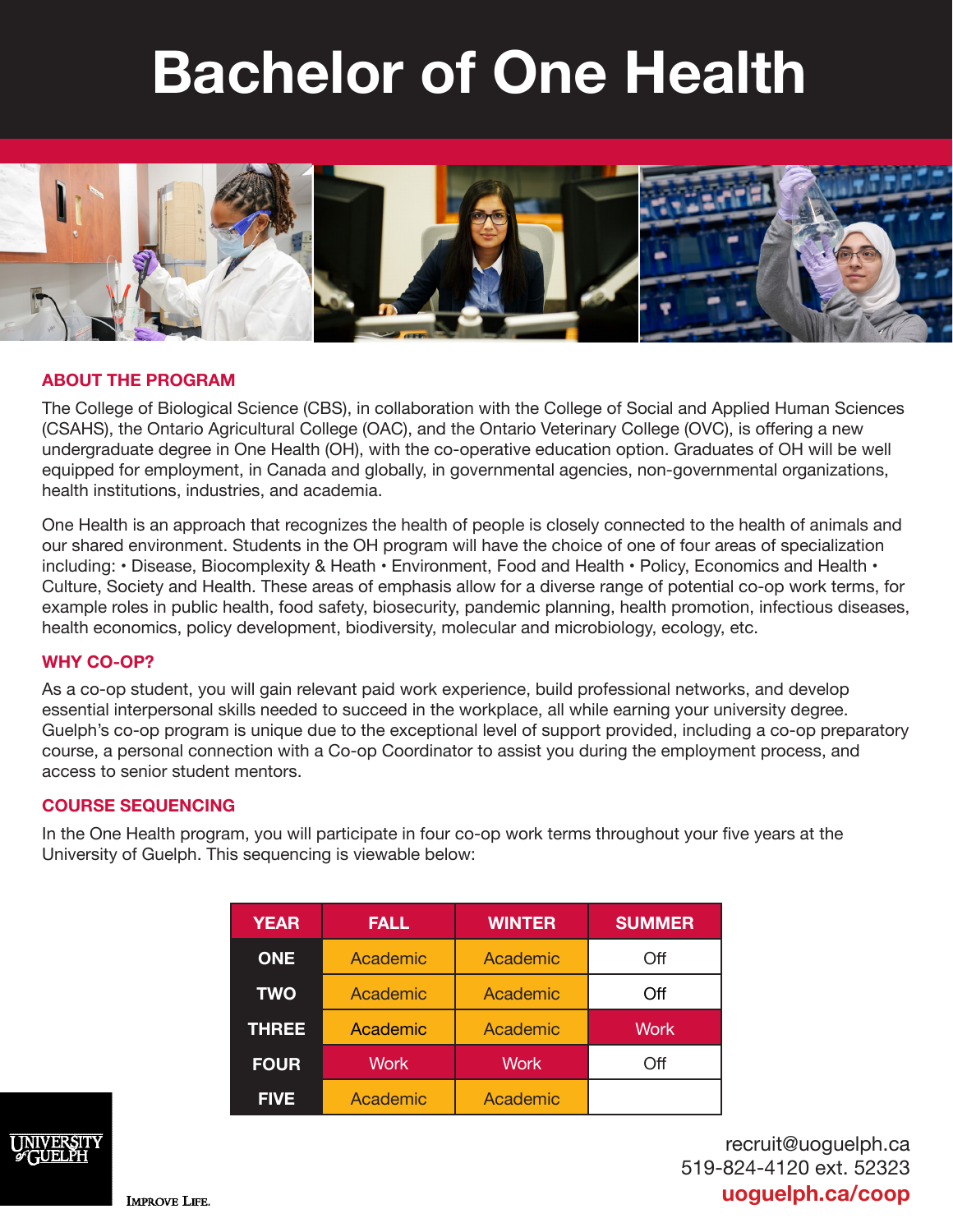# **Bachelor of One Health**



### **ABOUT THE PROGRAM**

The College of Biological Science (CBS), in collaboration with the College of Social and Applied Human Sciences (CSAHS), the Ontario Agricultural College (OAC), and the Ontario Veterinary College (OVC), is offering a new undergraduate degree in One Health (OH), with the co-operative education option. Graduates of OH will be well equipped for employment, in Canada and globally, in governmental agencies, non-governmental organizations, health institutions, industries, and academia.

One Health is an approach that recognizes the health of people is closely connected to the health of animals and our shared environment. Students in the OH program will have the choice of one of four areas of specialization including: • Disease, Biocomplexity & Heath • Environment, Food and Health • Policy, Economics and Health • Culture, Society and Health. These areas of emphasis allow for a diverse range of potential co-op work terms, for example roles in public health, food safety, biosecurity, pandemic planning, health promotion, infectious diseases, health economics, policy development, biodiversity, molecular and microbiology, ecology, etc.

#### **WHY CO-OP?**

As a co-op student, you will gain relevant paid work experience, build professional networks, and develop essential interpersonal skills needed to succeed in the workplace, all while earning your university degree. Guelph's co-op program is unique due to the exceptional level of support provided, including a co-op preparatory course, a personal connection with a Co-op Coordinator to assist you during the employment process, and access to senior student mentors.

#### **COURSE SEQUENCING**

In the One Health program, you will participate in four co-op work terms throughout your five years at the University of Guelph. This sequencing is viewable below:

| <b>YEAR</b>  | <b>FALL</b> | <b>WINTER</b> | <b>SUMMER</b> |
|--------------|-------------|---------------|---------------|
| <b>ONE</b>   | Academic    | Academic      | Off           |
| <b>TWO</b>   | Academic    | Academic      | Off           |
| <b>THREE</b> | Academic    | Academic      | Work          |
| <b>FOUR</b>  | <b>Work</b> | <b>Work</b>   | Off           |
| <b>FIVE</b>  | Academic    | Academic      |               |



recruit@uoguelph.ca 519-824-4120 ext. 52323 **uoguelph.ca/coop**